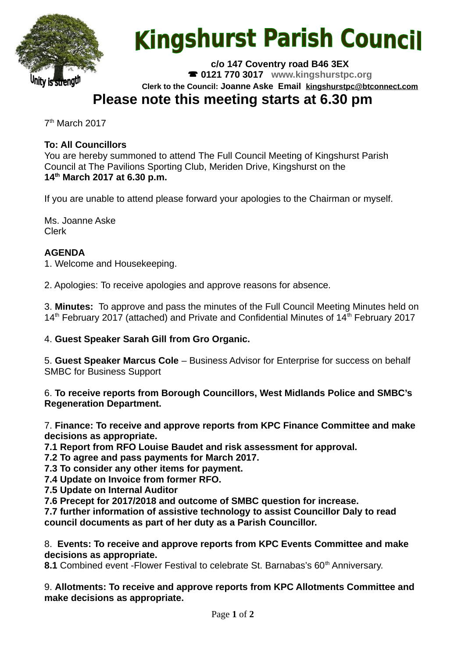

# **Kingshurst Parish Council**

**c/o 147 Coventry road B46 3EX 0121 770 3017 www.kingshurstpc.org Clerk to the Council: Joanne Aske Email [kingshurstpc@btconnect.com](mailto:kingshurstpc@btconnect.com)**

# **Please note this meeting starts at 6.30 pm**

7 th March 2017

# **To: All Councillors**

You are hereby summoned to attend The Full Council Meeting of Kingshurst Parish Council at The Pavilions Sporting Club, Meriden Drive, Kingshurst on the **14th March 2017 at 6.30 p.m.**

If you are unable to attend please forward your apologies to the Chairman or myself.

Ms. Joanne Aske Clerk

# **AGENDA**

1. Welcome and Housekeeping.

2. Apologies: To receive apologies and approve reasons for absence.

3. **Minutes:** To approve and pass the minutes of the Full Council Meeting Minutes held on  $14<sup>th</sup>$  February 2017 (attached) and Private and Confidential Minutes of  $14<sup>th</sup>$  February 2017

### 4. **Guest Speaker Sarah Gill from Gro Organic.**

5. **Guest Speaker Marcus Cole** – Business Advisor for Enterprise for success on behalf SMBC for Business Support

6. **To receive reports from Borough Councillors, West Midlands Police and SMBC's Regeneration Department.**

7. **Finance: To receive and approve reports from KPC Finance Committee and make decisions as appropriate.**

**7.1 Report from RFO Louise Baudet and risk assessment for approval.**

**7.2 To agree and pass payments for March 2017.**

**7.3 To consider any other items for payment.**

**7.4 Update on Invoice from former RFO.**

**7.5 Update on Internal Auditor**

**7.6 Precept for 2017/2018 and outcome of SMBC question for increase.**

**7.7 further information of assistive technology to assist Councillor Daly to read council documents as part of her duty as a Parish Councillor.**

8. **Events: To receive and approve reports from KPC Events Committee and make decisions as appropriate.**

8.1 Combined event -Flower Festival to celebrate St. Barnabas's 60<sup>th</sup> Anniversary.

9. **Allotments: To receive and approve reports from KPC Allotments Committee and make decisions as appropriate.**